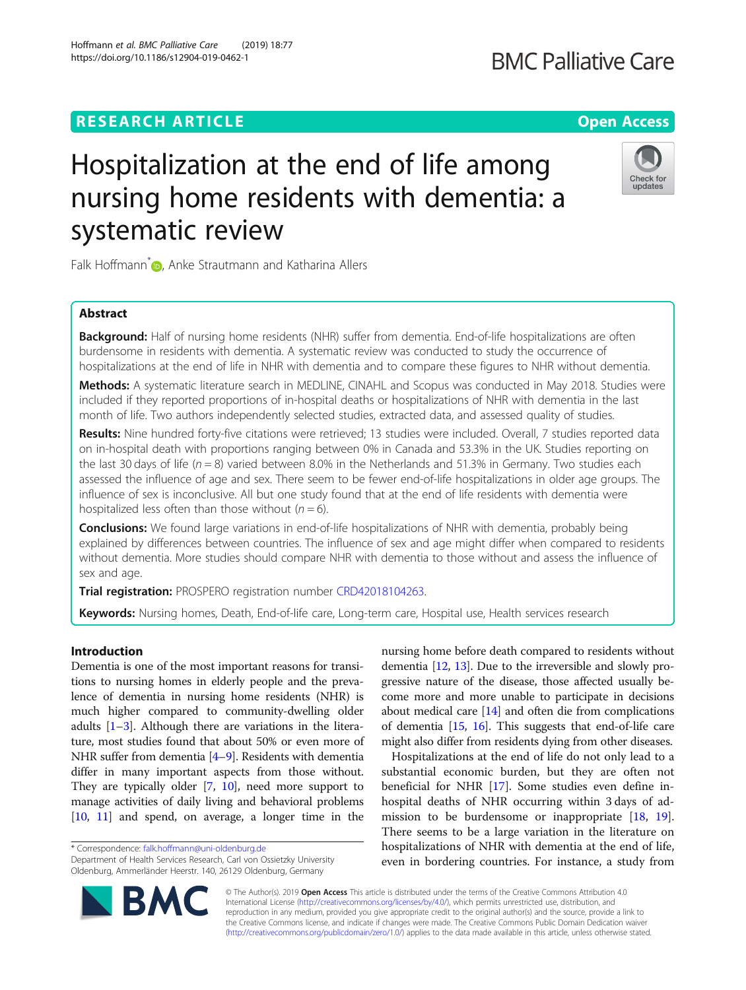# **RESEARCH ARTICLE Example 2018 12:30 THE Open Access**

# Hospitalization at the end of life among nursing home residents with dementia: a systematic review

Falk Hoffmann<sup>\*</sup> <sub>D</sub>, Anke Strautmann and Katharina Allers

# Abstract

Background: Half of nursing home residents (NHR) suffer from dementia. End-of-life hospitalizations are often burdensome in residents with dementia. A systematic review was conducted to study the occurrence of hospitalizations at the end of life in NHR with dementia and to compare these figures to NHR without dementia.

Methods: A systematic literature search in MEDLINE, CINAHL and Scopus was conducted in May 2018. Studies were included if they reported proportions of in-hospital deaths or hospitalizations of NHR with dementia in the last month of life. Two authors independently selected studies, extracted data, and assessed quality of studies.

Results: Nine hundred forty-five citations were retrieved; 13 studies were included. Overall, 7 studies reported data on in-hospital death with proportions ranging between 0% in Canada and 53.3% in the UK. Studies reporting on the last 30 days of life ( $n = 8$ ) varied between 8.0% in the Netherlands and 51.3% in Germany. Two studies each assessed the influence of age and sex. There seem to be fewer end-of-life hospitalizations in older age groups. The influence of sex is inconclusive. All but one study found that at the end of life residents with dementia were hospitalized less often than those without ( $n = 6$ ).

**Conclusions:** We found large variations in end-of-life hospitalizations of NHR with dementia, probably being explained by differences between countries. The influence of sex and age might differ when compared to residents without dementia. More studies should compare NHR with dementia to those without and assess the influence of sex and age.

Trial registration: PROSPERO registration number [CRD42018104263.](https://www.crd.york.ac.uk/prospero/display_record.php?ID=CRD42018104263)

Keywords: Nursing homes, Death, End-of-life care, Long-term care, Hospital use, Health services research

# Introduction

Dementia is one of the most important reasons for transitions to nursing homes in elderly people and the prevalence of dementia in nursing home residents (NHR) is much higher compared to community-dwelling older adults  $[1-3]$  $[1-3]$  $[1-3]$  $[1-3]$  $[1-3]$ . Although there are variations in the literature, most studies found that about 50% or even more of NHR suffer from dementia [[4](#page-8-0)–[9](#page-8-0)]. Residents with dementia differ in many important aspects from those without. They are typically older [\[7](#page-8-0), [10\]](#page-8-0), need more support to manage activities of daily living and behavioral problems [[10](#page-8-0), [11\]](#page-8-0) and spend, on average, a longer time in the

\* Correspondence: [falk.hoffmann@uni-oldenburg.de](mailto:falk.hoffmann@uni-oldenburg.de)

Department of Health Services Research, Carl von Ossietzky University Oldenburg, Ammerländer Heerstr. 140, 26129 Oldenburg, Germany

© The Author(s). 2019 **Open Access** This article is distributed under the terms of the Creative Commons Attribution 4.0

International License [\(http://creativecommons.org/licenses/by/4.0/](http://creativecommons.org/licenses/by/4.0/)), which permits unrestricted use, distribution, and reproduction in any medium, provided you give appropriate credit to the original author(s) and the source, provide a link to the Creative Commons license, and indicate if changes were made. The Creative Commons Public Domain Dedication waiver [\(http://creativecommons.org/publicdomain/zero/1.0/](http://creativecommons.org/publicdomain/zero/1.0/)) applies to the data made available in this article, unless otherwise stated.

nursing home before death compared to residents without dementia [\[12,](#page-8-0) [13\]](#page-9-0). Due to the irreversible and slowly progressive nature of the disease, those affected usually become more and more unable to participate in decisions about medical care [[14](#page-9-0)] and often die from complications of dementia [\[15,](#page-9-0) [16](#page-9-0)]. This suggests that end-of-life care might also differ from residents dying from other diseases.

Hospitalizations at the end of life do not only lead to a substantial economic burden, but they are often not beneficial for NHR [[17](#page-9-0)]. Some studies even define inhospital deaths of NHR occurring within 3 days of admission to be burdensome or inappropriate  $[18, 19]$  $[18, 19]$  $[18, 19]$  $[18, 19]$  $[18, 19]$ . There seems to be a large variation in the literature on hospitalizations of NHR with dementia at the end of life, even in bordering countries. For instance, a study from





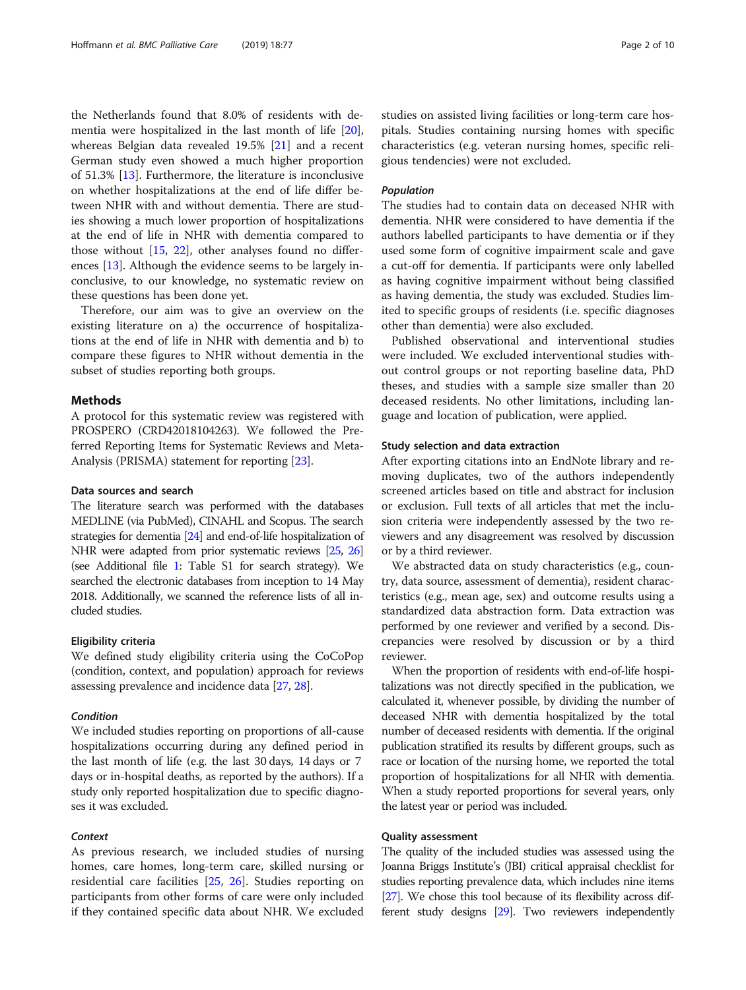the Netherlands found that 8.0% of residents with dementia were hospitalized in the last month of life [\[20](#page-9-0)], whereas Belgian data revealed 19.5% [\[21](#page-9-0)] and a recent German study even showed a much higher proportion of 51.3% [[13\]](#page-9-0). Furthermore, the literature is inconclusive on whether hospitalizations at the end of life differ between NHR with and without dementia. There are studies showing a much lower proportion of hospitalizations at the end of life in NHR with dementia compared to those without [\[15,](#page-9-0) [22](#page-9-0)], other analyses found no differences [\[13\]](#page-9-0). Although the evidence seems to be largely inconclusive, to our knowledge, no systematic review on these questions has been done yet.

Therefore, our aim was to give an overview on the existing literature on a) the occurrence of hospitalizations at the end of life in NHR with dementia and b) to compare these figures to NHR without dementia in the subset of studies reporting both groups.

# Methods

A protocol for this systematic review was registered with PROSPERO (CRD42018104263). We followed the Preferred Reporting Items for Systematic Reviews and Meta-Analysis (PRISMA) statement for reporting [\[23](#page-9-0)].

# Data sources and search

The literature search was performed with the databases MEDLINE (via PubMed), CINAHL and Scopus. The search strategies for dementia [\[24](#page-9-0)] and end-of-life hospitalization of NHR were adapted from prior systematic reviews [\[25](#page-9-0), [26](#page-9-0)] (see Additional file [1](#page-8-0): Table S1 for search strategy). We searched the electronic databases from inception to 14 May 2018. Additionally, we scanned the reference lists of all included studies.

# Eligibility criteria

We defined study eligibility criteria using the CoCoPop (condition, context, and population) approach for reviews assessing prevalence and incidence data [[27](#page-9-0), [28\]](#page-9-0).

# Condition

We included studies reporting on proportions of all-cause hospitalizations occurring during any defined period in the last month of life (e.g. the last 30 days, 14 days or 7 days or in-hospital deaths, as reported by the authors). If a study only reported hospitalization due to specific diagnoses it was excluded.

# **Context**

As previous research, we included studies of nursing homes, care homes, long-term care, skilled nursing or residential care facilities [\[25](#page-9-0), [26\]](#page-9-0). Studies reporting on participants from other forms of care were only included if they contained specific data about NHR. We excluded studies on assisted living facilities or long-term care hospitals. Studies containing nursing homes with specific characteristics (e.g. veteran nursing homes, specific religious tendencies) were not excluded.

# Population

The studies had to contain data on deceased NHR with dementia. NHR were considered to have dementia if the authors labelled participants to have dementia or if they used some form of cognitive impairment scale and gave a cut-off for dementia. If participants were only labelled as having cognitive impairment without being classified as having dementia, the study was excluded. Studies limited to specific groups of residents (i.e. specific diagnoses other than dementia) were also excluded.

Published observational and interventional studies were included. We excluded interventional studies without control groups or not reporting baseline data, PhD theses, and studies with a sample size smaller than 20 deceased residents. No other limitations, including language and location of publication, were applied.

# Study selection and data extraction

After exporting citations into an EndNote library and removing duplicates, two of the authors independently screened articles based on title and abstract for inclusion or exclusion. Full texts of all articles that met the inclusion criteria were independently assessed by the two reviewers and any disagreement was resolved by discussion or by a third reviewer.

We abstracted data on study characteristics (e.g., country, data source, assessment of dementia), resident characteristics (e.g., mean age, sex) and outcome results using a standardized data abstraction form. Data extraction was performed by one reviewer and verified by a second. Discrepancies were resolved by discussion or by a third reviewer.

When the proportion of residents with end-of-life hospitalizations was not directly specified in the publication, we calculated it, whenever possible, by dividing the number of deceased NHR with dementia hospitalized by the total number of deceased residents with dementia. If the original publication stratified its results by different groups, such as race or location of the nursing home, we reported the total proportion of hospitalizations for all NHR with dementia. When a study reported proportions for several years, only the latest year or period was included.

# Quality assessment

The quality of the included studies was assessed using the Joanna Briggs Institute's (JBI) critical appraisal checklist for studies reporting prevalence data, which includes nine items [[27\]](#page-9-0). We chose this tool because of its flexibility across different study designs [\[29\]](#page-9-0). Two reviewers independently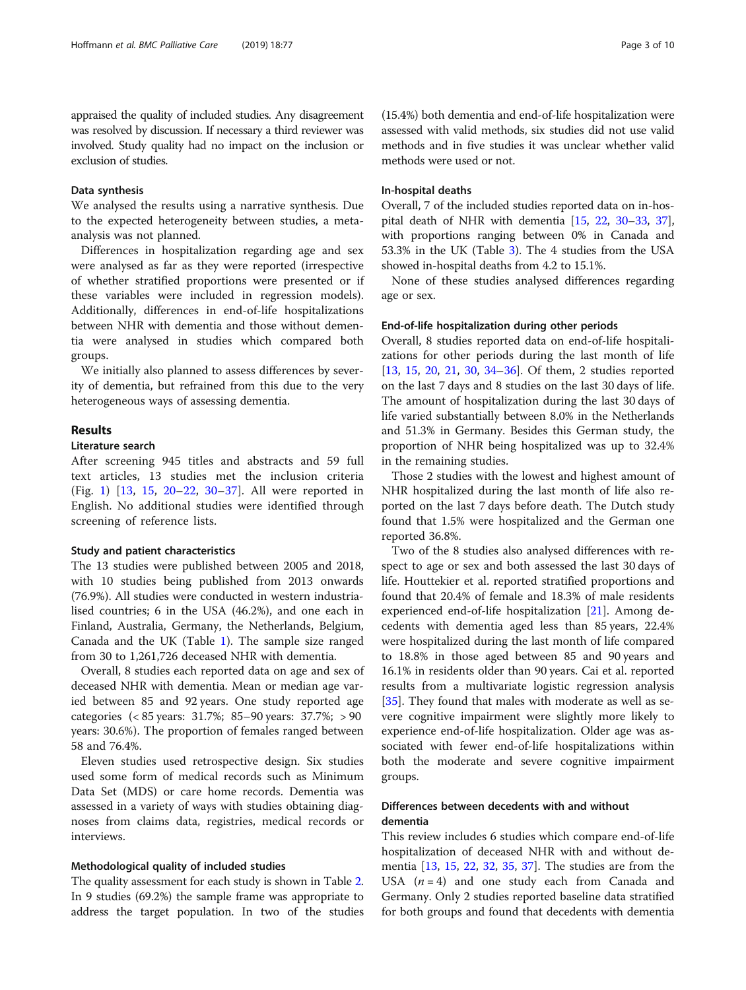appraised the quality of included studies. Any disagreement was resolved by discussion. If necessary a third reviewer was involved. Study quality had no impact on the inclusion or exclusion of studies.

# Data synthesis

We analysed the results using a narrative synthesis. Due to the expected heterogeneity between studies, a metaanalysis was not planned.

Differences in hospitalization regarding age and sex were analysed as far as they were reported (irrespective of whether stratified proportions were presented or if these variables were included in regression models). Additionally, differences in end-of-life hospitalizations between NHR with dementia and those without dementia were analysed in studies which compared both groups.

We initially also planned to assess differences by severity of dementia, but refrained from this due to the very heterogeneous ways of assessing dementia.

# Results

## Literature search

After screening 945 titles and abstracts and 59 full text articles, 13 studies met the inclusion criteria (Fig. [1\)](#page-3-0) [\[13](#page-9-0), [15](#page-9-0), [20](#page-9-0)–[22,](#page-9-0) [30](#page-9-0)–[37\]](#page-9-0). All were reported in English. No additional studies were identified through screening of reference lists.

#### Study and patient characteristics

The 13 studies were published between 2005 and 2018, with 10 studies being published from 2013 onwards (76.9%). All studies were conducted in western industrialised countries; 6 in the USA (46.2%), and one each in Finland, Australia, Germany, the Netherlands, Belgium, Canada and the UK (Table [1\)](#page-4-0). The sample size ranged from 30 to 1,261,726 deceased NHR with dementia.

Overall, 8 studies each reported data on age and sex of deceased NHR with dementia. Mean or median age varied between 85 and 92 years. One study reported age categories (< 85 years: 31.7%; 85–90 years: 37.7%; > 90 years: 30.6%). The proportion of females ranged between 58 and 76.4%.

Eleven studies used retrospective design. Six studies used some form of medical records such as Minimum Data Set (MDS) or care home records. Dementia was assessed in a variety of ways with studies obtaining diagnoses from claims data, registries, medical records or interviews.

# Methodological quality of included studies

The quality assessment for each study is shown in Table [2](#page-6-0). In 9 studies (69.2%) the sample frame was appropriate to address the target population. In two of the studies (15.4%) both dementia and end-of-life hospitalization were assessed with valid methods, six studies did not use valid methods and in five studies it was unclear whether valid methods were used or not.

# In-hospital deaths

Overall, 7 of the included studies reported data on in-hospital death of NHR with dementia [[15,](#page-9-0) [22,](#page-9-0) [30](#page-9-0)–[33,](#page-9-0) [37](#page-9-0)], with proportions ranging between 0% in Canada and 53.3% in the UK (Table [3](#page-6-0)). The 4 studies from the USA showed in-hospital deaths from 4.2 to 15.1%.

None of these studies analysed differences regarding age or sex.

# End-of-life hospitalization during other periods

Overall, 8 studies reported data on end-of-life hospitalizations for other periods during the last month of life [[13,](#page-9-0) [15,](#page-9-0) [20](#page-9-0), [21](#page-9-0), [30,](#page-9-0) [34](#page-9-0)–[36](#page-9-0)]. Of them, 2 studies reported on the last 7 days and 8 studies on the last 30 days of life. The amount of hospitalization during the last 30 days of life varied substantially between 8.0% in the Netherlands and 51.3% in Germany. Besides this German study, the proportion of NHR being hospitalized was up to 32.4% in the remaining studies.

Those 2 studies with the lowest and highest amount of NHR hospitalized during the last month of life also reported on the last 7 days before death. The Dutch study found that 1.5% were hospitalized and the German one reported 36.8%.

Two of the 8 studies also analysed differences with respect to age or sex and both assessed the last 30 days of life. Houttekier et al. reported stratified proportions and found that 20.4% of female and 18.3% of male residents experienced end-of-life hospitalization [[21](#page-9-0)]. Among decedents with dementia aged less than 85 years, 22.4% were hospitalized during the last month of life compared to 18.8% in those aged between 85 and 90 years and 16.1% in residents older than 90 years. Cai et al. reported results from a multivariate logistic regression analysis [[35\]](#page-9-0). They found that males with moderate as well as severe cognitive impairment were slightly more likely to experience end-of-life hospitalization. Older age was associated with fewer end-of-life hospitalizations within both the moderate and severe cognitive impairment groups.

# Differences between decedents with and without dementia

This review includes 6 studies which compare end-of-life hospitalization of deceased NHR with and without dementia [\[13](#page-9-0), [15,](#page-9-0) [22](#page-9-0), [32](#page-9-0), [35,](#page-9-0) [37](#page-9-0)]. The studies are from the USA  $(n = 4)$  and one study each from Canada and Germany. Only 2 studies reported baseline data stratified for both groups and found that decedents with dementia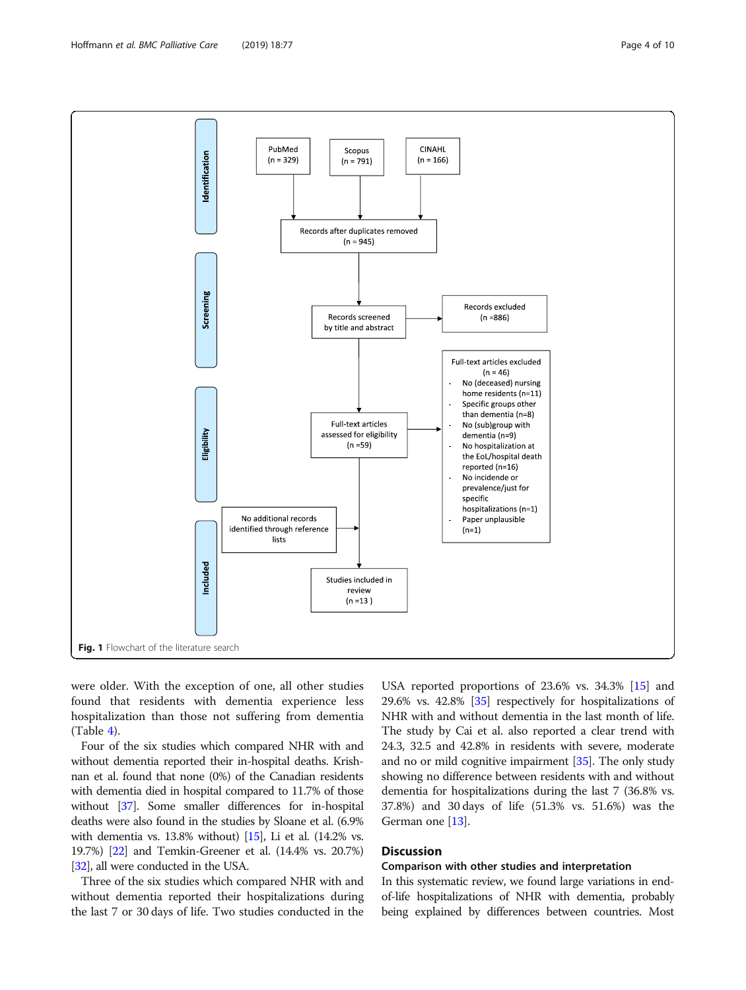<span id="page-3-0"></span>

were older. With the exception of one, all other studies found that residents with dementia experience less hospitalization than those not suffering from dementia (Table [4\)](#page-7-0).

Four of the six studies which compared NHR with and without dementia reported their in-hospital deaths. Krishnan et al. found that none (0%) of the Canadian residents with dementia died in hospital compared to 11.7% of those without [[37](#page-9-0)]. Some smaller differences for in-hospital deaths were also found in the studies by Sloane et al. (6.9% with dementia vs.  $13.8\%$  without) [\[15](#page-9-0)], Li et al. (14.2% vs. 19.7%) [[22](#page-9-0)] and Temkin-Greener et al. (14.4% vs. 20.7%) [[32](#page-9-0)], all were conducted in the USA.

Three of the six studies which compared NHR with and without dementia reported their hospitalizations during the last 7 or 30 days of life. Two studies conducted in the

USA reported proportions of 23.6% vs. 34.3% [\[15\]](#page-9-0) and 29.6% vs. 42.8% [\[35\]](#page-9-0) respectively for hospitalizations of NHR with and without dementia in the last month of life. The study by Cai et al. also reported a clear trend with 24.3, 32.5 and 42.8% in residents with severe, moderate and no or mild cognitive impairment [\[35\]](#page-9-0). The only study showing no difference between residents with and without dementia for hospitalizations during the last 7 (36.8% vs. 37.8%) and 30 days of life (51.3% vs. 51.6%) was the German one [[13](#page-9-0)].

# **Discussion**

# Comparison with other studies and interpretation

In this systematic review, we found large variations in endof-life hospitalizations of NHR with dementia, probably being explained by differences between countries. Most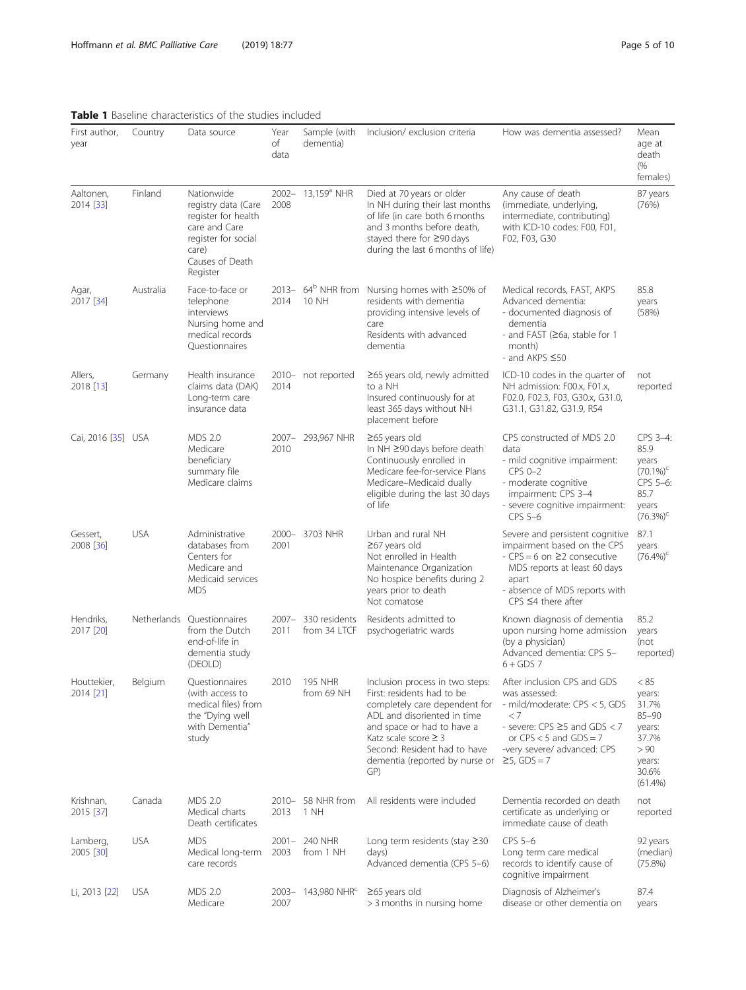# <span id="page-4-0"></span>Table 1 Baseline characteristics of the studies included

| First author,<br>year    | Country    | Data source                                                                                                                              | Year<br>of<br>data | Sample (with<br>dementia)         | Inclusion/exclusion criteria                                                                                                                                                                                                                                      | How was dementia assessed?                                                                                                                                                                                | Mean<br>age at<br>death<br>(%<br>females)                                                        |
|--------------------------|------------|------------------------------------------------------------------------------------------------------------------------------------------|--------------------|-----------------------------------|-------------------------------------------------------------------------------------------------------------------------------------------------------------------------------------------------------------------------------------------------------------------|-----------------------------------------------------------------------------------------------------------------------------------------------------------------------------------------------------------|--------------------------------------------------------------------------------------------------|
| Aaltonen,<br>2014 [33]   | Finland    | Nationwide<br>registry data (Care<br>register for health<br>care and Care<br>register for social<br>care)<br>Causes of Death<br>Register | 2008               | 2002-13.159 <sup>ª</sup> NHR      | Died at 70 years or older<br>In NH during their last months<br>of life (in care both 6 months<br>and 3 months before death,<br>stayed there for $\geq$ 90 days<br>during the last 6 months of life)                                                               | Any cause of death<br>(immediate, underlying,<br>intermediate, contributing)<br>with ICD-10 codes: F00, F01,<br>F02, F03, G30                                                                             | 87 years<br>(76%)                                                                                |
| Agar,<br>2017 [34]       | Australia  | Face-to-face or<br>telephone<br>interviews<br>Nursing home and<br>medical records<br>Questionnaires                                      | $2013 -$<br>2014   | 64 <sup>b</sup> NHR from<br>10 NH | Nursing homes with ≥50% of<br>residents with dementia<br>providing intensive levels of<br>care<br>Residents with advanced<br>dementia                                                                                                                             | Medical records, FAST, AKPS<br>Advanced dementia:<br>- documented diagnosis of<br>dementia<br>- and FAST (≥6a, stable for 1<br>month)<br>- and AKPS $\leq$ 50                                             | 85.8<br>years<br>(58%)                                                                           |
| Allers,<br>2018 [13]     | Germany    | Health insurance<br>claims data (DAK)<br>Long-term care<br>insurance data                                                                | 2014               | 2010- not reported                | ≥65 years old, newly admitted<br>to a NH<br>Insured continuously for at<br>least 365 days without NH<br>placement before                                                                                                                                          | ICD-10 codes in the quarter of<br>NH admission: F00.x, F01.x,<br>F02.0, F02.3, F03, G30.x, G31.0,<br>G31.1, G31.82, G31.9, R54                                                                            | not<br>reported                                                                                  |
| Cai, 2016 [35] USA       |            | MDS 2.0<br>Medicare<br>beneficiary<br>summary file<br>Medicare claims                                                                    | 2010               | 2007-293,967 NHR                  | $\geq$ 65 years old<br>In NH ≥90 days before death<br>Continuously enrolled in<br>Medicare fee-for-service Plans<br>Medicare-Medicaid dually<br>eligible during the last 30 days<br>of life                                                                       | CPS constructed of MDS 2.0<br>data<br>- mild cognitive impairment:<br>$CPS$ $0-2$<br>- moderate cognitive<br>impairment: CPS 3-4<br>- severe cognitive impairment:<br>CPS 5-6                             | CPS 3-4:<br>85.9<br>years<br>$(70.1\%)^C$<br>CPS 5-6:<br>85.7<br>years<br>$(76.3\%)^C$           |
| Gessert,<br>2008 [36]    | <b>USA</b> | Administrative<br>databases from<br>Centers for<br>Medicare and<br>Medicaid services<br><b>MDS</b>                                       | 2001               | 2000- 3703 NHR                    | Urban and rural NH<br>$\geq$ 67 years old<br>Not enrolled in Health<br>Maintenance Organization<br>No hospice benefits during 2<br>years prior to death<br>Not comatose                                                                                           | Severe and persistent cognitive<br>impairment based on the CPS<br>- CPS = 6 on $\geq$ 2 consecutive<br>MDS reports at least 60 days<br>apart<br>- absence of MDS reports with<br>$CPS \leq 4$ there after | 87.1<br>years<br>$(76.4\%)^c$                                                                    |
| Hendriks,<br>2017 [20]   |            | Netherlands Questionnaires<br>from the Dutch<br>end-of-life in<br>dementia study<br>(DEOLD)                                              | $2007 -$<br>2011   | 330 residents<br>from 34 LTCF     | Residents admitted to<br>psychogeriatric wards                                                                                                                                                                                                                    | Known diagnosis of dementia<br>upon nursing home admission<br>(by a physician)<br>Advanced dementia: CPS 5-<br>$6 + GDS$ 7                                                                                | 85.2<br>years<br>(not<br>reported)                                                               |
| Houttekier,<br>2014 [21] | Belgium    | Questionnaires<br>(with access to<br>medical files) from<br>the "Dying well<br>with Dementia"<br>study                                   | 2010               | 195 NHR<br>from 69 NH             | Inclusion process in two steps:<br>First: residents had to be<br>completely care dependent for<br>ADL and disoriented in time<br>and space or had to have a<br>Katz scale score $\geq$ 3<br>Second: Resident had to have<br>dementia (reported by nurse or<br>GP) | After inclusion CPS and GDS<br>was assessed:<br>- mild/moderate: CPS < 5, GDS<br>< 7<br>- severe: CPS $\ge$ 5 and GDS < 7<br>or $CPS < 5$ and $GDS = 7$<br>-very severe/ advanced: CPS<br>$≥5$ , GDS = 7  | < 85<br>years:<br>31.7%<br>$85 - 90$<br>years:<br>37.7%<br>> 90<br>years:<br>30.6%<br>$(61.4\%)$ |
| Krishnan,<br>2015 [37]   | Canada     | <b>MDS 2.0</b><br>Medical charts<br>Death certificates                                                                                   | 2013               | 2010- 58 NHR from<br>1 NH         | All residents were included                                                                                                                                                                                                                                       | Dementia recorded on death<br>certificate as underlying or<br>immediate cause of death                                                                                                                    | not<br>reported                                                                                  |
| Lamberg,<br>2005 [30]    | <b>USA</b> | <b>MDS</b><br>Medical long-term<br>care records                                                                                          | 2003               | 2001-240 NHR<br>from 1 NH         | Long term residents (stay ≥30<br>days)<br>Advanced dementia (CPS 5-6)                                                                                                                                                                                             | CPS 5-6<br>Long term care medical<br>records to identify cause of<br>cognitive impairment                                                                                                                 | 92 years<br>(median)<br>(75.8%)                                                                  |
| Li, 2013 [22]            | <b>USA</b> | MDS 2.0<br>Medicare                                                                                                                      | 2007               | 2003-143,980 NHR                  | $\geq$ 65 years old<br>> 3 months in nursing home                                                                                                                                                                                                                 | Diagnosis of Alzheimer's<br>disease or other dementia on                                                                                                                                                  | 87.4<br>years                                                                                    |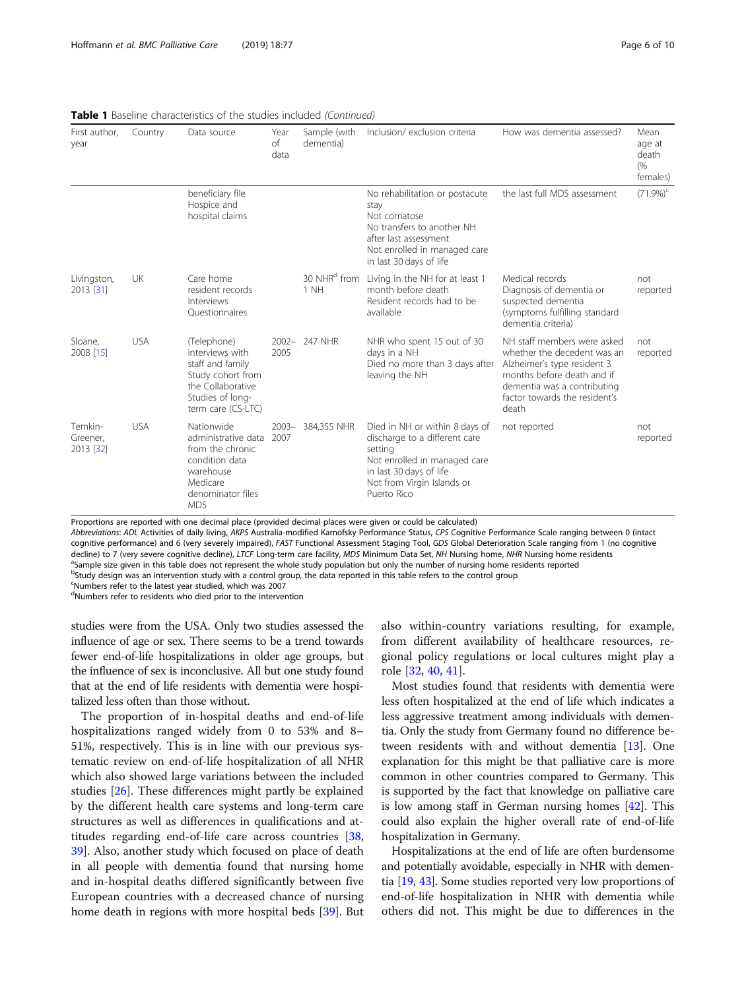| First author,<br>year            | Country    | Data source                                                                                                                            | Year<br>of<br>data | Sample (with<br>dementia)        | Inclusion/exclusion criteria                                                                                                                                                       | How was dementia assessed?                                                                                                                                                                       | Mean<br>age at<br>death<br>(%<br>females) |
|----------------------------------|------------|----------------------------------------------------------------------------------------------------------------------------------------|--------------------|----------------------------------|------------------------------------------------------------------------------------------------------------------------------------------------------------------------------------|--------------------------------------------------------------------------------------------------------------------------------------------------------------------------------------------------|-------------------------------------------|
|                                  |            | beneficiary file<br>Hospice and<br>hospital claims                                                                                     |                    |                                  | No rehabilitation or postacute<br>stay<br>Not comatose<br>No transfers to another NH<br>after last assessment<br>Not enrolled in managed care<br>in last 30 days of life           | the last full MDS assessment                                                                                                                                                                     | $(71.9\%)^C$                              |
| Livingston,<br>2013 [31]         | UK         | Care home<br>resident records<br>Interviews<br>Questionnaires                                                                          |                    | 30 NHR <sup>d</sup> from<br>1 NH | Living in the NH for at least 1<br>month before death<br>Resident records had to be<br>available                                                                                   | Medical records<br>Diagnosis of dementia or<br>suspected dementia<br>(symptoms fulfilling standard<br>dementia criteria)                                                                         | not<br>reported                           |
| Sloane.<br>2008 [15]             | <b>USA</b> | (Telephone)<br>interviews with<br>staff and family<br>Study cohort from<br>the Collaborative<br>Studies of long-<br>term care (CS-LTC) | $2002 -$<br>2005   | <b>247 NHR</b>                   | NHR who spent 15 out of 30<br>days in a NH<br>Died no more than 3 days after<br>leaving the NH                                                                                     | NH staff members were asked<br>whether the decedent was an<br>Alzheimer's type resident 3<br>months before death and if<br>dementia was a contributing<br>factor towards the resident's<br>death | not<br>reported                           |
| Temkin-<br>Greener,<br>2013 [32] | <b>USA</b> | Nationwide<br>administrative data<br>from the chronic<br>condition data<br>warehouse<br>Medicare<br>denominator files<br><b>MDS</b>    | $2003 -$<br>2007   | 384,355 NHR                      | Died in NH or within 8 days of<br>discharge to a different care<br>setting<br>Not enrolled in managed care<br>in last 30 days of life<br>Not from Virgin Islands or<br>Puerto Rico | not reported                                                                                                                                                                                     | not<br>reported                           |

#### Table 1 Baseline characteristics of the studies included (Continued)

Proportions are reported with one decimal place (provided decimal places were given or could be calculated)

Abbreviations: ADL Activities of daily living, AKPS Australia-modified Karnofsky Performance Status, CPS Cognitive Performance Scale ranging between 0 (intact cognitive performance) and 6 (very severely impaired), FAST Functional Assessment Staging Tool, GDS Global Deterioration Scale ranging from 1 (no cognitive decline) to 7 (very severe cognitive decline), LTCF Long-term care facility, MDS Minimum Data Set, NH Nursing home, NHR Nursing home residents <sup>a</sup>Sample size given in this table does not represent the whole study population but only the number of nursing home residents reported

b<br>Study design was an intervention study with a control group, the data reported in this table refers to the control group

<sup>c</sup>Numbers refer to the latest year studied, which was 2007

<sup>d</sup>Numbers refer to residents who died prior to the intervention

studies were from the USA. Only two studies assessed the influence of age or sex. There seems to be a trend towards fewer end-of-life hospitalizations in older age groups, but the influence of sex is inconclusive. All but one study found that at the end of life residents with dementia were hospitalized less often than those without.

The proportion of in-hospital deaths and end-of-life hospitalizations ranged widely from 0 to 53% and 8– 51%, respectively. This is in line with our previous systematic review on end-of-life hospitalization of all NHR which also showed large variations between the included studies [\[26](#page-9-0)]. These differences might partly be explained by the different health care systems and long-term care structures as well as differences in qualifications and attitudes regarding end-of-life care across countries [[38](#page-9-0), [39\]](#page-9-0). Also, another study which focused on place of death in all people with dementia found that nursing home and in-hospital deaths differed significantly between five European countries with a decreased chance of nursing home death in regions with more hospital beds [[39\]](#page-9-0). But

also within-country variations resulting, for example, from different availability of healthcare resources, regional policy regulations or local cultures might play a role [[32](#page-9-0), [40](#page-9-0), [41](#page-9-0)].

Most studies found that residents with dementia were less often hospitalized at the end of life which indicates a less aggressive treatment among individuals with dementia. Only the study from Germany found no difference be-tween residents with and without dementia [[13\]](#page-9-0). One explanation for this might be that palliative care is more common in other countries compared to Germany. This is supported by the fact that knowledge on palliative care is low among staff in German nursing homes [[42](#page-9-0)]. This could also explain the higher overall rate of end-of-life hospitalization in Germany.

Hospitalizations at the end of life are often burdensome and potentially avoidable, especially in NHR with dementia [\[19](#page-9-0), [43](#page-9-0)]. Some studies reported very low proportions of end-of-life hospitalization in NHR with dementia while others did not. This might be due to differences in the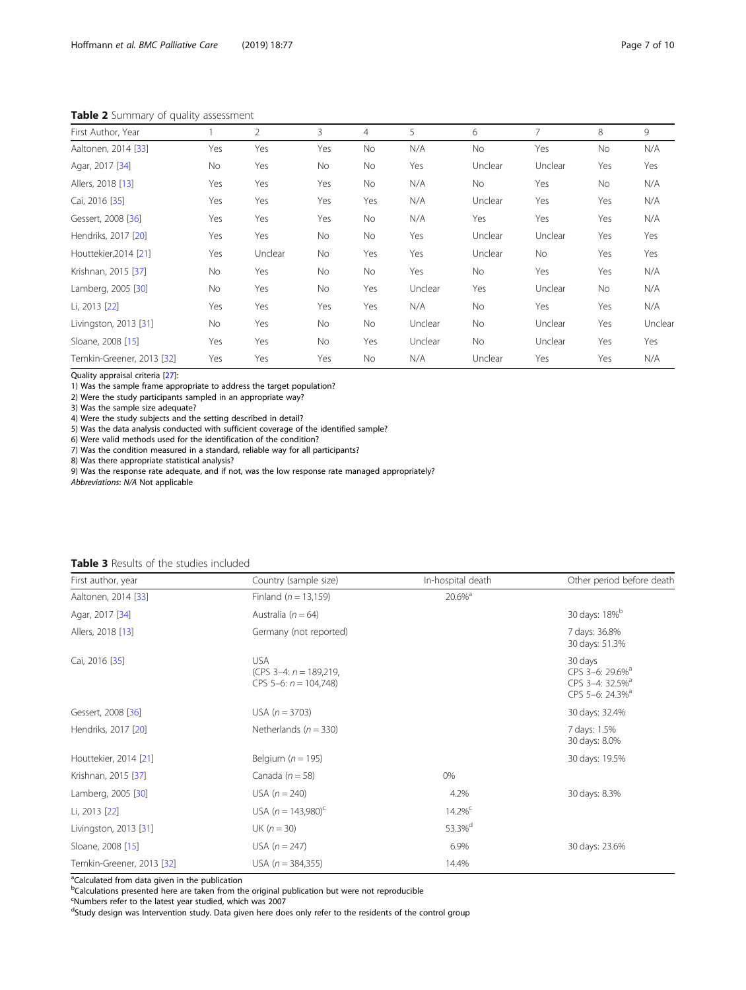# <span id="page-6-0"></span>Table 2 Summary of quality assessment

| First Author, Year        |     | $\overline{2}$ | 3   | $\overline{4}$ | 5       | 6         | $\overline{7}$ | 8   | 9       |
|---------------------------|-----|----------------|-----|----------------|---------|-----------|----------------|-----|---------|
| Aaltonen, 2014 [33]       | Yes | Yes            | Yes | No             | N/A     | <b>No</b> | Yes            | No  | N/A     |
| Agar, 2017 [34]           | No  | Yes            | No. | No             | Yes     | Unclear   | Unclear        | Yes | Yes     |
| Allers, 2018 [13]         | Yes | Yes            | Yes | No             | N/A     | No        | Yes            | No  | N/A     |
| Cai, 2016 [35]            | Yes | Yes            | Yes | Yes            | N/A     | Unclear   | Yes            | Yes | N/A     |
| Gessert, 2008 [36]        | Yes | Yes            | Yes | No             | N/A     | Yes       | Yes            | Yes | N/A     |
| Hendriks, 2017 [20]       | Yes | Yes            | No  | No             | Yes     | Unclear   | Unclear        | Yes | Yes     |
| Houttekier, 2014 [21]     | Yes | Unclear        | No  | Yes            | Yes     | Unclear   | No.            | Yes | Yes     |
| Krishnan, 2015 [37]       | No  | Yes            | No  | No             | Yes     | No        | Yes            | Yes | N/A     |
| Lamberg, 2005 [30]        | No  | Yes            | No  | Yes            | Unclear | Yes       | Unclear        | No  | N/A     |
| Li, 2013 [22]             | Yes | Yes            | Yes | Yes            | N/A     | No.       | Yes            | Yes | N/A     |
| Livingston, 2013 [31]     | No  | Yes            | No  | No             | Unclear | No        | Unclear        | Yes | Unclear |
| Sloane, 2008 [15]         | Yes | Yes            | No  | Yes            | Unclear | <b>No</b> | Unclear        | Yes | Yes     |
| Temkin-Greener, 2013 [32] | Yes | Yes            | Yes | <b>No</b>      | N/A     | Unclear   | Yes            | Yes | N/A     |

Quality appraisal criteria [[27](#page-9-0)]:

1) Was the sample frame appropriate to address the target population?

2) Were the study participants sampled in an appropriate way?

3) Was the sample size adequate?

4) Were the study subjects and the setting described in detail?

5) Was the data analysis conducted with sufficient coverage of the identified sample?

6) Were valid methods used for the identification of the condition?

7) Was the condition measured in a standard, reliable way for all participants?

8) Was there appropriate statistical analysis?

9) Was the response rate adequate, and if not, was the low response rate managed appropriately?

Abbreviations: N/A Not applicable

# Table 3 Results of the studies included

| First author, year        | Country (sample size)                                             | In-hospital death     | Other period before death                                                                            |
|---------------------------|-------------------------------------------------------------------|-----------------------|------------------------------------------------------------------------------------------------------|
| Aaltonen, 2014 [33]       | Finland ( $n = 13,159$ )                                          | 20.6% <sup>a</sup>    |                                                                                                      |
| Agar, 2017 [34]           | Australia ( $n = 64$ )                                            |                       | 30 days: 18% <sup>b</sup>                                                                            |
| Allers, 2018 [13]         | Germany (not reported)                                            |                       | 7 days: 36.8%<br>30 days: 51.3%                                                                      |
| Cai, 2016 [35]            | <b>USA</b><br>(CPS 3-4: $n = 189,219$ ,<br>CPS 5-6: $n = 104,748$ |                       | 30 days<br>CPS 3-6: 29.6% <sup>a</sup><br>CPS 3-4: 32.5% <sup>a</sup><br>CPS 5-6: 24.3% <sup>a</sup> |
| Gessert, 2008 [36]        | USA $(n = 3703)$                                                  |                       | 30 days: 32.4%                                                                                       |
| Hendriks, 2017 [20]       | Netherlands ( $n = 330$ )                                         |                       | 7 days: 1.5%<br>30 days: 8.0%                                                                        |
| Houttekier, 2014 [21]     | Belgium ( $n = 195$ )                                             |                       | 30 days: 19.5%                                                                                       |
| Krishnan, 2015 [37]       | Canada $(n = 58)$                                                 | 0%                    |                                                                                                      |
| Lamberg, 2005 [30]        | USA $(n = 240)$                                                   | 4.2%                  | 30 days: 8.3%                                                                                        |
| Li, 2013 [22]             | USA ( $n = 143,980$ ) <sup>c</sup>                                | $14.2\%$ <sup>c</sup> |                                                                                                      |
| Livingston, 2013 [31]     | UK $(n = 30)$                                                     | 53.3% <sup>d</sup>    |                                                                                                      |
| Sloane, 2008 [15]         | USA $(n = 247)$                                                   | 6.9%                  |                                                                                                      |
| Temkin-Greener, 2013 [32] | USA $(n = 384, 355)$                                              | 14.4%                 |                                                                                                      |

<sup>a</sup>Calculated from data given in the publication

<sup>b</sup>Calculations presented here are taken from the original publication but were not reproducible

<sup>c</sup>Numbers refer to the latest year studied, which was 2007

dStudy design was Intervention study. Data given here does only refer to the residents of the control group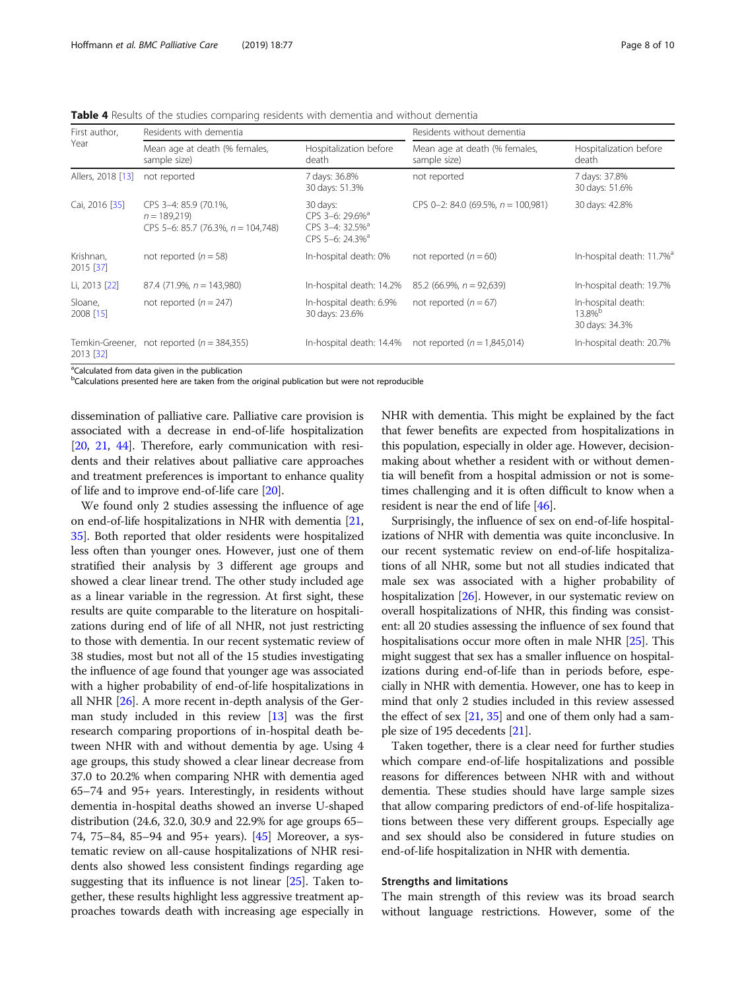<span id="page-7-0"></span>Table 4 Results of the studies comparing residents with dementia and without dementia

| First author,<br>Year  | Residents with dementia                                                         |                                                                                                       | Residents without dementia                                   |                                                            |  |
|------------------------|---------------------------------------------------------------------------------|-------------------------------------------------------------------------------------------------------|--------------------------------------------------------------|------------------------------------------------------------|--|
|                        | Mean age at death (% females,<br>sample size)                                   | Hospitalization before<br>death                                                                       | Mean age at death (% females,<br>sample size)                | Hospitalization before<br>death                            |  |
| Allers, 2018 [13]      | not reported                                                                    | 7 days: 36.8%<br>30 days: 51.3%                                                                       | not reported                                                 | 7 days: 37.8%<br>30 days: 51.6%                            |  |
| Cai, 2016 [35]         | CPS 3-4: 85.9 (70.1%,<br>$n = 189,219$<br>CPS 5-6: 85.7 (76.3%, $n = 104,748$ ) | 30 days:<br>CPS 3-6: 29.6% <sup>a</sup><br>CPS 3-4: 32.5% <sup>a</sup><br>CPS 5-6: 24.3% <sup>a</sup> | CPS 0-2: 84.0 (69.5%, $n = 100,981$ )                        | 30 days: 42.8%                                             |  |
| Krishnan,<br>2015 [37] | not reported $(n = 58)$                                                         | In-hospital death: 0%                                                                                 | not reported $(n = 60)$                                      | In-hospital death: 11.7% <sup>a</sup>                      |  |
| Li, 2013 [22]          | $87.4$ (71.9%, $n = 143,980$ )                                                  | In-hospital death: 14.2%                                                                              | $85.2$ (66.9%, $n = 92,639$ )                                | In-hospital death: 19.7%                                   |  |
| Sloane,<br>2008 [15]   | not reported $(n = 247)$                                                        | In-hospital death: 6.9%<br>30 days: 23.6%                                                             | not reported $(n = 67)$                                      | In-hospital death:<br>13.8% <sup>b</sup><br>30 days: 34.3% |  |
| 2013 [32]              | Temkin-Greener, not reported ( $n = 384,355$ )                                  |                                                                                                       | In-hospital death: $14.4\%$ not reported ( $n = 1,845,014$ ) | In-hospital death: 20.7%                                   |  |

<sup>a</sup>Calculated from data given in the publication

<sup>b</sup>Calculations presented here are taken from the original publication but were not reproducible

dissemination of palliative care. Palliative care provision is associated with a decrease in end-of-life hospitalization [[20](#page-9-0), [21,](#page-9-0) [44](#page-9-0)]. Therefore, early communication with residents and their relatives about palliative care approaches and treatment preferences is important to enhance quality of life and to improve end-of-life care [\[20\]](#page-9-0).

We found only 2 studies assessing the influence of age on end-of-life hospitalizations in NHR with dementia [[21](#page-9-0), [35](#page-9-0)]. Both reported that older residents were hospitalized less often than younger ones. However, just one of them stratified their analysis by 3 different age groups and showed a clear linear trend. The other study included age as a linear variable in the regression. At first sight, these results are quite comparable to the literature on hospitalizations during end of life of all NHR, not just restricting to those with dementia. In our recent systematic review of 38 studies, most but not all of the 15 studies investigating the influence of age found that younger age was associated with a higher probability of end-of-life hospitalizations in all NHR [[26](#page-9-0)]. A more recent in-depth analysis of the German study included in this review [\[13\]](#page-9-0) was the first research comparing proportions of in-hospital death between NHR with and without dementia by age. Using 4 age groups, this study showed a clear linear decrease from 37.0 to 20.2% when comparing NHR with dementia aged 65–74 and 95+ years. Interestingly, in residents without dementia in-hospital deaths showed an inverse U-shaped distribution (24.6, 32.0, 30.9 and 22.9% for age groups 65– 74, 75–84, 85–94 and 95+ years). [\[45\]](#page-9-0) Moreover, a systematic review on all-cause hospitalizations of NHR residents also showed less consistent findings regarding age suggesting that its influence is not linear [\[25\]](#page-9-0). Taken together, these results highlight less aggressive treatment approaches towards death with increasing age especially in NHR with dementia. This might be explained by the fact that fewer benefits are expected from hospitalizations in this population, especially in older age. However, decisionmaking about whether a resident with or without dementia will benefit from a hospital admission or not is sometimes challenging and it is often difficult to know when a resident is near the end of life [\[46\]](#page-9-0).

Surprisingly, the influence of sex on end-of-life hospitalizations of NHR with dementia was quite inconclusive. In our recent systematic review on end-of-life hospitalizations of all NHR, some but not all studies indicated that male sex was associated with a higher probability of hospitalization [\[26\]](#page-9-0). However, in our systematic review on overall hospitalizations of NHR, this finding was consistent: all 20 studies assessing the influence of sex found that hospitalisations occur more often in male NHR [[25](#page-9-0)]. This might suggest that sex has a smaller influence on hospitalizations during end-of-life than in periods before, especially in NHR with dementia. However, one has to keep in mind that only 2 studies included in this review assessed the effect of sex [\[21,](#page-9-0) [35](#page-9-0)] and one of them only had a sample size of 195 decedents [\[21\]](#page-9-0).

Taken together, there is a clear need for further studies which compare end-of-life hospitalizations and possible reasons for differences between NHR with and without dementia. These studies should have large sample sizes that allow comparing predictors of end-of-life hospitalizations between these very different groups. Especially age and sex should also be considered in future studies on end-of-life hospitalization in NHR with dementia.

# Strengths and limitations

The main strength of this review was its broad search without language restrictions. However, some of the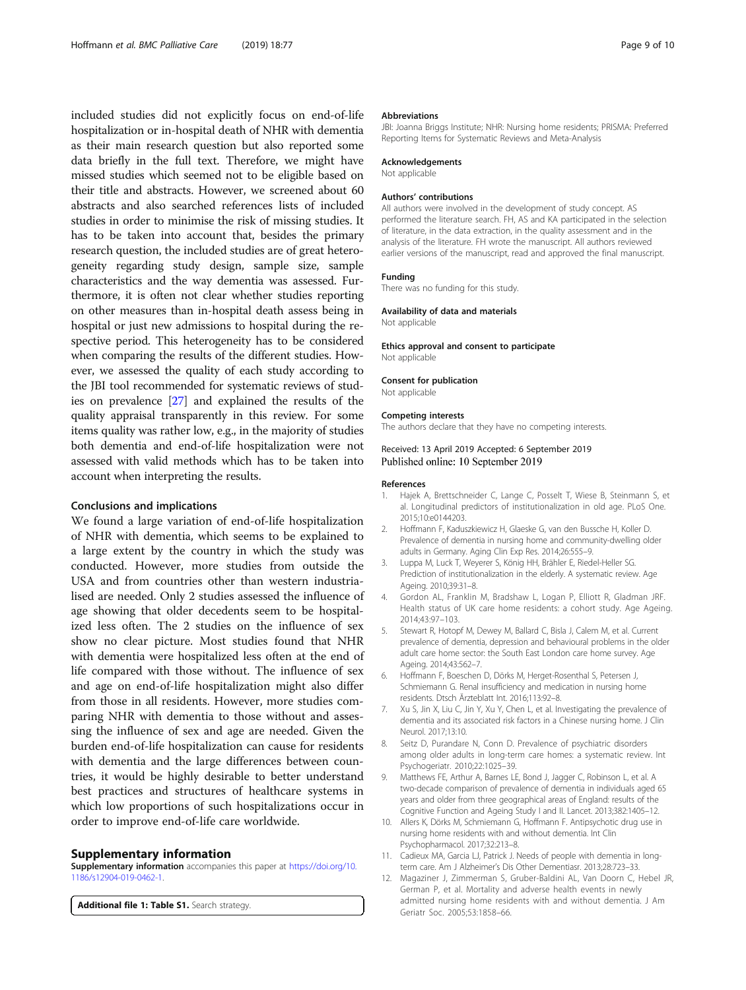<span id="page-8-0"></span>included studies did not explicitly focus on end-of-life hospitalization or in-hospital death of NHR with dementia as their main research question but also reported some data briefly in the full text. Therefore, we might have missed studies which seemed not to be eligible based on their title and abstracts. However, we screened about 60 abstracts and also searched references lists of included studies in order to minimise the risk of missing studies. It has to be taken into account that, besides the primary research question, the included studies are of great heterogeneity regarding study design, sample size, sample characteristics and the way dementia was assessed. Furthermore, it is often not clear whether studies reporting on other measures than in-hospital death assess being in hospital or just new admissions to hospital during the respective period. This heterogeneity has to be considered when comparing the results of the different studies. However, we assessed the quality of each study according to the JBI tool recommended for systematic reviews of studies on prevalence [\[27\]](#page-9-0) and explained the results of the quality appraisal transparently in this review. For some items quality was rather low, e.g., in the majority of studies both dementia and end-of-life hospitalization were not assessed with valid methods which has to be taken into account when interpreting the results.

# Conclusions and implications

We found a large variation of end-of-life hospitalization of NHR with dementia, which seems to be explained to a large extent by the country in which the study was conducted. However, more studies from outside the USA and from countries other than western industrialised are needed. Only 2 studies assessed the influence of age showing that older decedents seem to be hospitalized less often. The 2 studies on the influence of sex show no clear picture. Most studies found that NHR with dementia were hospitalized less often at the end of life compared with those without. The influence of sex and age on end-of-life hospitalization might also differ from those in all residents. However, more studies comparing NHR with dementia to those without and assessing the influence of sex and age are needed. Given the burden end-of-life hospitalization can cause for residents with dementia and the large differences between countries, it would be highly desirable to better understand best practices and structures of healthcare systems in which low proportions of such hospitalizations occur in order to improve end-of-life care worldwide.

#### Supplementary information

Supplementary information accompanies this paper at [https://doi.org/10.](https://doi.org/10.1186/s12904-019-0462-1) [1186/s12904-019-0462-1.](https://doi.org/10.1186/s12904-019-0462-1)

Additional file 1: Table S1. Search strategy.

#### Abbreviations

JBI: Joanna Briggs Institute; NHR: Nursing home residents; PRISMA: Preferred Reporting Items for Systematic Reviews and Meta-Analysis

#### Acknowledgements

Not applicable

#### Authors' contributions

All authors were involved in the development of study concept. AS performed the literature search. FH, AS and KA participated in the selection of literature, in the data extraction, in the quality assessment and in the analysis of the literature. FH wrote the manuscript. All authors reviewed earlier versions of the manuscript, read and approved the final manuscript.

#### Funding

There was no funding for this study.

# Availability of data and materials

Not applicable

# Ethics approval and consent to participate

Not applicable

#### Consent for publication

Not applicable

#### Competing interests

The authors declare that they have no competing interests.

# Received: 13 April 2019 Accepted: 6 September 2019 Published online: 10 September 2019

#### References

- 1. Hajek A, Brettschneider C, Lange C, Posselt T, Wiese B, Steinmann S, et al. Longitudinal predictors of institutionalization in old age. PLoS One. 2015;10:e0144203.
- 2. Hoffmann F, Kaduszkiewicz H, Glaeske G, van den Bussche H, Koller D. Prevalence of dementia in nursing home and community-dwelling older adults in Germany. Aging Clin Exp Res. 2014;26:555–9.
- 3. Luppa M, Luck T, Weyerer S, König HH, Brähler E, Riedel-Heller SG. Prediction of institutionalization in the elderly. A systematic review. Age Ageing. 2010;39:31–8.
- 4. Gordon AL, Franklin M, Bradshaw L, Logan P, Elliott R, Gladman JRF. Health status of UK care home residents: a cohort study. Age Ageing. 2014;43:97–103.
- 5. Stewart R, Hotopf M, Dewey M, Ballard C, Bisla J, Calem M, et al. Current prevalence of dementia, depression and behavioural problems in the older adult care home sector: the South East London care home survey. Age Ageing. 2014;43:562–7.
- 6. Hoffmann F, Boeschen D, Dörks M, Herget-Rosenthal S, Petersen J, Schmiemann G. Renal insufficiency and medication in nursing home residents. Dtsch Ärzteblatt Int. 2016;113:92–8.
- 7. Xu S, Jin X, Liu C, Jin Y, Xu Y, Chen L, et al. Investigating the prevalence of dementia and its associated risk factors in a Chinese nursing home. J Clin Neurol. 2017;13:10.
- 8. Seitz D, Purandare N, Conn D. Prevalence of psychiatric disorders among older adults in long-term care homes: a systematic review. Int Psychogeriatr. 2010;22:1025–39.
- 9. Matthews FE, Arthur A, Barnes LE, Bond J, Jagger C, Robinson L, et al. A two-decade comparison of prevalence of dementia in individuals aged 65 years and older from three geographical areas of England: results of the Cognitive Function and Ageing Study I and II. Lancet. 2013;382:1405–12.
- 10. Allers K, Dörks M, Schmiemann G, Hoffmann F. Antipsychotic drug use in nursing home residents with and without dementia. Int Clin Psychopharmacol. 2017;32:213–8.
- 11. Cadieux MA, Garcia LJ, Patrick J. Needs of people with dementia in longterm care. Am J Alzheimer's Dis Other Dementiasr. 2013;28:723–33.
- 12. Magaziner J, Zimmerman S, Gruber-Baldini AL, Van Doorn C, Hebel JR, German P, et al. Mortality and adverse health events in newly admitted nursing home residents with and without dementia. J Am Geriatr Soc. 2005;53:1858–66.